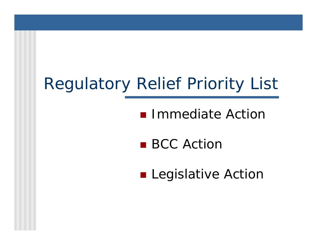# Regulatory Relief Priority List

# **Immediate Action**

■ BCC Action

**E** Legislative Action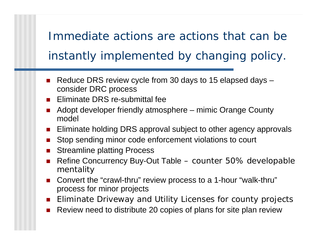Immediate actions are actions that can be instantly implemented by changing policy.

- Reduce DRS review cycle from 30 days to 15 elapsed days consider DRC process
- **Eliminate DRS re-submittal fee**
- ! Adopt developer friendly atmosphere – mimic Orange County model
- **Eliminate holding DRS approval subject to other agency approvals**
- **.** Stop sending minor code enforcement violations to court
- Streamline platting Process
- ! Refine Concurrency Buy-Out Table – counter 50% developable mentality
- Convert the "crawl-thru" review process to a 1-hour "walk-thru" process for minor projects
- **.** Eliminate Driveway and Utility Licenses for county projects
- !Review need to distribute 20 copies of plans for site plan review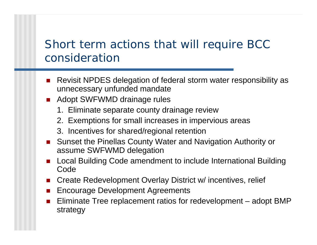## Short term actions that will require BCC consideration

- Revisit NPDES delegation of federal storm water responsibility as unnecessary unfunded mandate
- **. Adopt SWFWMD drainage rules** 
	- 1. Eliminate separate county drainage review
	- 2. Exemptions for small increases in impervious areas
	- 3. Incentives for shared/regional retention
- Sunset the Pinellas County Water and Navigation Authority or assume SWFWMD delegation
- Local Building Code amendment to include International Building Code
- **.** Create Redevelopment Overlay District w/ incentives, relief
- Encourage Development Agreements
- **.**  Eliminate Tree replacement ratios for redevelopment – adopt BMP strategy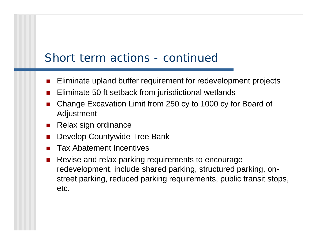#### Short term actions - continued

- !Eliminate upland buffer requirement for redevelopment projects
- Eliminate 50 ft setback from jurisdictional wetlands
- ! Change Excavation Limit from 250 cy to 1000 cy for Board of Adjustment
- $\blacksquare$  Relax sign ordinance
- Develop Countywide Tree Bank
- !Tax Abatement Incentives
- ! Revise and relax parking requirements to encourage redevelopment, include shared parking, structured parking, onstreet parking, reduced parking requirements, public transit stops, etc.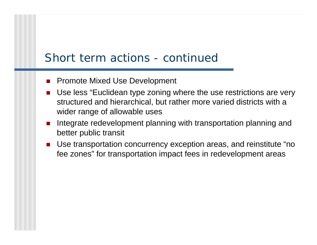#### Short term actions - continued

- !Promote Mixed Use Development
- Use less "Euclidean type zoning where the use restrictions are very structured and hierarchical, but rather more varied districts with a wider range of allowable uses
- ! Integrate redevelopment planning with transportation planning and better public transit
- Use transportation concurrency exception areas, and reinstitute "no fee zones" for transportation impact fees in redevelopment areas